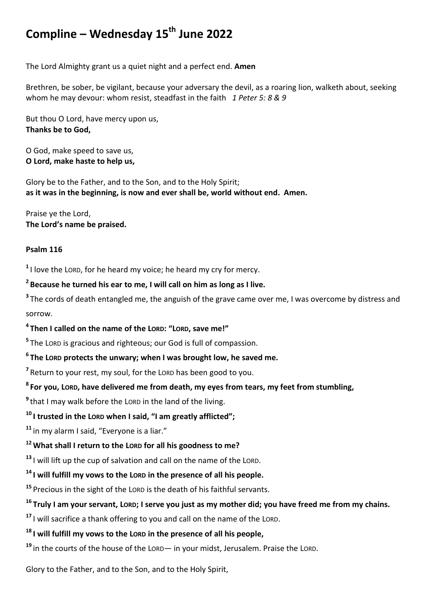# **Compline – Wednesday 15th June 2022**

The Lord Almighty grant us a quiet night and a perfect end. **Amen**

Brethren, be sober, be vigilant, because your adversary the devil, as a roaring lion, walketh about, seeking whom he may devour: whom resist, steadfast in the faith *1 Peter 5: 8 & 9*

But thou O Lord, have mercy upon us, **Thanks be to God,**

O God, make speed to save us, **O Lord, make haste to help us,**

Glory be to the Father, and to the Son, and to the Holy Spirit; **as it was in the beginning, is now and ever shall be, world without end. Amen.**

Praise ye the Lord, **The Lord's name be praised.**

#### **Psalm 116**

**1** I love the LORD, for he heard my voice; he heard my cry for mercy.

# **2 Because he turned his ear to me, I will call on him as long as I live.**

<sup>3</sup>The cords of death entangled me, the anguish of the grave came over me, I was overcome by distress and sorrow.

# **4 Then I called on the name of the LORD: "LORD, save me!"**

**5** The LORD is gracious and righteous; our God is full of compassion.

**6 The LORD protects the unwary; when I was brought low, he saved me.**

<sup>7</sup> Return to your rest, my soul, for the Lor<sub>D</sub> has been good to you.

**8 For you, LORD, have delivered me from death, my eyes from tears, my feet from stumbling,**

**9** that I may walk before the LORD in the land of the living.

# **<sup>10</sup> I trusted in the LORD when I said, "I am greatly afflicted";**

**<sup>11</sup>** in my alarm I said, "Everyone is a liar."

## **<sup>12</sup>What shall I return to the LORD for all his goodness to me?**

**<sup>13</sup>** I will lift up the cup of salvation and call on the name of the LORD.

## **<sup>14</sup> I will fulfill my vows to the LORD in the presence of all his people.**

**<sup>15</sup>** Precious in the sight of the LORD is the death of his faithful servants.

# **<sup>16</sup> Truly I am your servant, LORD; I serve you just as my mother did; you have freed me from my chains.**

**<sup>17</sup>** I will sacrifice a thank offering to you and call on the name of the LORD.

# **<sup>18</sup> I will fulfill my vows to the LORD in the presence of all his people,**

**<sup>19</sup>** in the courts of the house of the LORD— in your midst, Jerusalem. Praise the LORD.

Glory to the Father, and to the Son, and to the Holy Spirit,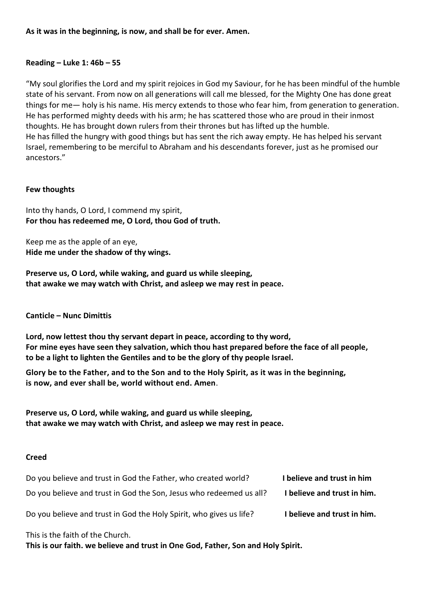## **Reading – Luke 1: 46b – 55**

"My soul glorifies the Lord and my spirit rejoices in God my Saviour, for he has been mindful of the humble state of his servant. From now on all generations will call me blessed, for the Mighty One has done great things for me— holy is his name. His mercy extends to those who fear him, from generation to generation. He has performed mighty deeds with his arm; he has scattered those who are proud in their inmost thoughts. He has brought down rulers from their thrones but has lifted up the humble. He has filled the hungry with good things but has sent the rich away empty. He has helped his servant Israel, remembering to be merciful to Abraham and his descendants forever, just as he promised our ancestors."

## **Few thoughts**

Into thy hands, O Lord, I commend my spirit, **For thou has redeemed me, O Lord, thou God of truth.**

Keep me as the apple of an eye, **Hide me under the shadow of thy wings.**

**Preserve us, O Lord, while waking, and guard us while sleeping, that awake we may watch with Christ, and asleep we may rest in peace.**

**Canticle – Nunc Dimittis** 

**Lord, now lettest thou thy servant depart in peace, according to thy word, For mine eyes have seen they salvation, which thou hast prepared before the face of all people, to be a light to lighten the Gentiles and to be the glory of thy people Israel.** 

**Glory be to the Father, and to the Son and to the Holy Spirit, as it was in the beginning, is now, and ever shall be, world without end. Amen**.

**Preserve us, O Lord, while waking, and guard us while sleeping, that awake we may watch with Christ, and asleep we may rest in peace.**

#### **Creed**

| Do you believe and trust in God the Father, who created world?      | I believe and trust in him  |
|---------------------------------------------------------------------|-----------------------------|
| Do you believe and trust in God the Son, Jesus who redeemed us all? | I believe and trust in him. |
| Do you believe and trust in God the Holy Spirit, who gives us life? | I believe and trust in him. |

This is the faith of the Church.

**This is our faith. we believe and trust in One God, Father, Son and Holy Spirit.**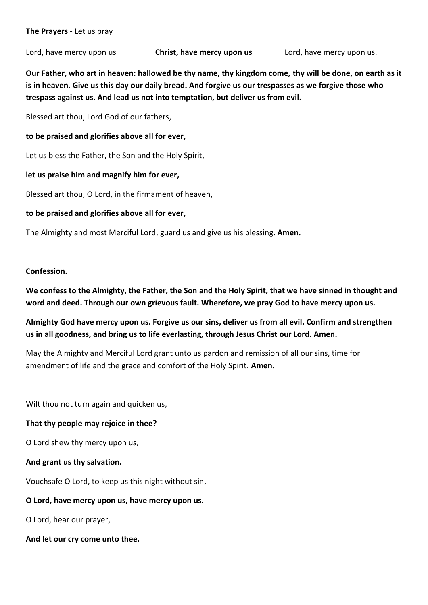Lord, have mercy upon us **Christ, have mercy upon us** Lord, have mercy upon us.

**Our Father, who art in heaven: hallowed be thy name, thy kingdom come, thy will be done, on earth as it is in heaven. Give us this day our daily bread. And forgive us our trespasses as we forgive those who trespass against us. And lead us not into temptation, but deliver us from evil.** 

Blessed art thou, Lord God of our fathers,

**to be praised and glorifies above all for ever,**

Let us bless the Father, the Son and the Holy Spirit,

**let us praise him and magnify him for ever,**

Blessed art thou, O Lord, in the firmament of heaven,

**to be praised and glorifies above all for ever,**

The Almighty and most Merciful Lord, guard us and give us his blessing. **Amen.**

#### **Confession.**

**We confess to the Almighty, the Father, the Son and the Holy Spirit, that we have sinned in thought and word and deed. Through our own grievous fault. Wherefore, we pray God to have mercy upon us.** 

**Almighty God have mercy upon us. Forgive us our sins, deliver us from all evil. Confirm and strengthen us in all goodness, and bring us to life everlasting, through Jesus Christ our Lord. Amen.** 

May the Almighty and Merciful Lord grant unto us pardon and remission of all our sins, time for amendment of life and the grace and comfort of the Holy Spirit. **Amen**.

Wilt thou not turn again and quicken us,

#### **That thy people may rejoice in thee?**

O Lord shew thy mercy upon us,

#### **And grant us thy salvation.**

Vouchsafe O Lord, to keep us this night without sin,

## **O Lord, have mercy upon us, have mercy upon us.**

O Lord, hear our prayer,

**And let our cry come unto thee.**